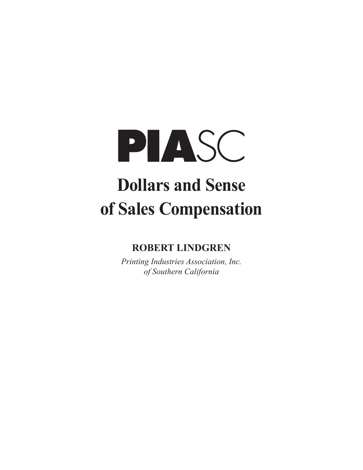

# **Dollars and Sense of Sales Compensation**

# **ROBERT LINDGREN**

*Printing Industries Association, Inc. of Southern California*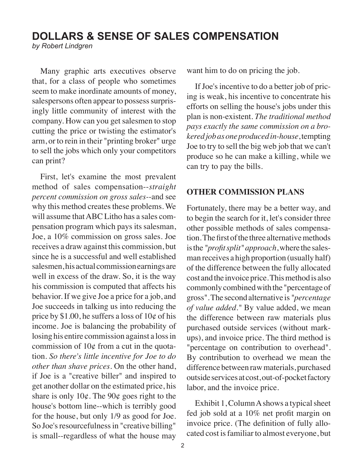## **DOLLARS & SENSE OF SALES COMPENSATION**

*by Robert Lindgren*

Many graphic arts executives observe that, for a class of people who sometimes seem to make inordinate amounts of money, salespersons often appear to possess surprisingly little community of interest with the company. How can you get salesmen to stop cutting the price or twisting the estimator's arm, or to rein in their "printing broker" urge to sell the jobs which only your competitors can print?

First, let's examine the most prevalent method of sales compensation--*straight percent commission on gross sales-*-and see why this method creates these problems. We will assume that ABC Litho has a sales compensation program which pays its salesman, Joe, a 10% commission on gross sales. Joe receives a draw against this commission, but since he is a successful and well established salesmen, his actual commission earnings are well in excess of the draw. So, it is the way his commission is computed that affects his behavior. If we give Joe a price for a job, and Joe succeeds in talking us into reducing the price by \$1.00, he suffers a loss of  $10¢$  of his income. Joe is balancing the probability of losing his entire commission against a loss in commission of  $10¢$  from a cut in the quotation. *So there's little incentive for Joe to do other than shave prices.* On the other hand, if Joe is a "creative biller" and inspired to get another dollar on the estimated price, his share is only  $10¢$ . The  $90¢$  goes right to the house's bottom line--which is terribly good for the house, but only 1/9 as good for Joe. So Joe's resourcefulness in "creative billing" is small--regardless of what the house may

want him to do on pricing the job.

If Joe's incentive to do a better job of pricing is weak, his incentive to concentrate his efforts on selling the house's jobs under this plan is non-existent. *The traditional method pays exactly the same commission on a brokered job as one produced in-house*, tempting Joe to try to sell the big web job that we can't produce so he can make a killing, while we can try to pay the bills.

#### **OTHER COMMISSION PLANS**

Fortunately, there may be a better way, and to begin the search for it, let's consider three other possible methods of sales compensation. The first of the three alternative methods is the *"profit split" approach*, where the salesman receives a high proportion (usually half) of the difference between the fully allocated cost and the invoice price. This method is also commonly combined with the "percentage of gross". The second alternative is *"percentage of value added."* By value added, we mean the difference between raw materials plus purchased outside services (without markups), and invoice price. The third method is "percentage on contribution to overhead". By contribution to overhead we mean the difference between raw materials, purchased outside services at cost, out-of-pocket factory labor, and the invoice price.

Exhibit 1, Column A shows a typical sheet fed job sold at a 10% net profit margin on invoice price. (The definition of fully allocated cost is familiar to almost everyone, but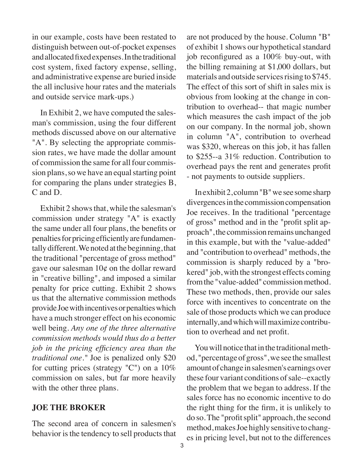in our example, costs have been restated to distinguish between out-of-pocket expenses and allocated fixed expenses. In the traditional cost system, fixed factory expense, selling, and administrative expense are buried inside the all inclusive hour rates and the materials and outside service mark-ups.)

In Exhibit 2, we have computed the salesman's commission, using the four different methods discussed above on our alternative "A". By selecting the appropriate commission rates, we have made the dollar amount of commission the same for all four commission plans, so we have an equal starting point for comparing the plans under strategies B, C and D.

Exhibit 2 shows that, while the salesman's commission under strategy "A" is exactly the same under all four plans, the benefits or penalties for pricing efficiently are fundamentally different. We noted at the beginning, that the traditional "percentage of gross method" gave our salesman 10¢ on the dollar reward in "creative billing", and imposed a similar penalty for price cutting. Exhibit 2 shows us that the alternative commission methods provide Joe with incentives or penalties which have a much stronger effect on his economic well being. *Any one of the three alternative commission methods would thus do a better job in the pricing efficiency area than the traditional one."* Joe is penalized only \$20 for cutting prices (strategy "C") on a 10% commission on sales, but far more heavily with the other three plans.

#### **JOE THE BROKER**

The second area of concern in salesmen's behavior is the tendency to sell products that are not produced by the house. Column "B" of exhibit 1 shows our hypothetical standard job reconfigured as a 100% buy-out, with the billing remaining at \$1,000 dollars, but materials and outside services rising to \$745. The effect of this sort of shift in sales mix is obvious from looking at the change in contribution to overhead-- that magic number which measures the cash impact of the job on our company. In the normal job, shown in column "A", contribution to overhead was \$320, whereas on this job, it has fallen to \$255--a 31% reduction. Contribution to overhead pays the rent and generates profit - not payments to outside suppliers.

In exhibit 2, column "B" we see some sharp divergences in the commission compensation Joe receives. In the traditional "percentage of gross" method and in the "profit split approach", the commission remains unchanged in this example, but with the "value-added" and "contribution to overhead" methods, the commission is sharply reduced by a "brokered" job, with the strongest effects coming from the "value-added" commission method. These two methods, then, provide our sales force with incentives to concentrate on the sale of those products which we can produce internally, and which will maximize contribution to overhead and net profit.

You will notice that in the traditional method, "percentage of gross", we see the smallest amount of change in salesmen's earnings over these four variant conditions of sale--exactly the problem that we began to address. If the sales force has no economic incentive to do the right thing for the firm, it is unlikely to do so. The "profit split" approach, the second method, makes Joe highly sensitive to changes in pricing level, but not to the differences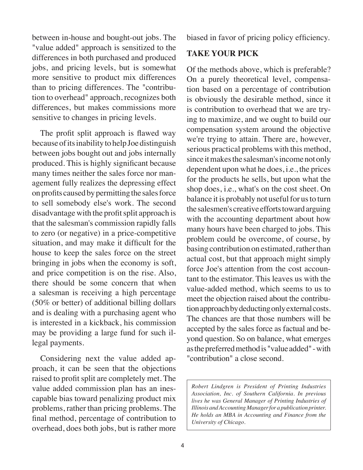between in-house and bought-out jobs. The "value added" approach is sensitized to the differences in both purchased and produced jobs, and pricing levels, but is somewhat more sensitive to product mix differences than to pricing differences. The "contribution to overhead" approach, recognizes both differences, but makes commissions more sensitive to changes in pricing levels.

The profit split approach is flawed way because of its inability to help Joe distinguish between jobs bought out and jobs internally produced. This is highly significant because many times neither the sales force nor management fully realizes the depressing effect on profits caused by permitting the sales force to sell somebody else's work. The second disadvantage with the profit split approach is that the salesman's commission rapidly falls to zero (or negative) in a price-competitive situation, and may make it difficult for the house to keep the sales force on the street bringing in jobs when the economy is soft, and price competition is on the rise. Also, there should be some concern that when a salesman is receiving a high percentage (50% or better) of additional billing dollars and is dealing with a purchasing agent who is interested in a kickback, his commission may be providing a large fund for such illegal payments.

Considering next the value added approach, it can be seen that the objections raised to profit split are completely met. The value added commission plan has an inescapable bias toward penalizing product mix problems, rather than pricing problems. The final method, percentage of contribution to overhead, does both jobs, but is rather more

biased in favor of pricing policy efficiency.

#### **TAKE YOUR PICK**

Of the methods above, which is preferable? On a purely theoretical level, compensation based on a percentage of contribution is obviously the desirable method, since it is contribution to overhead that we are trying to maximize, and we ought to build our compensation system around the objective we're trying to attain. There are, however, serious practical problems with this method, since it makes the salesman's income not only dependent upon what he does, i.e., the prices for the products he sells, but upon what the shop does, i.e., what's on the cost sheet. On balance it is probably not useful for us to turn the salesmen's creative efforts toward arguing with the accounting department about how many hours have been charged to jobs. This problem could be overcome, of course, by basing contribution on estimated, rather than actual cost, but that approach might simply force Joe's attention from the cost accountant to the estimator. This leaves us with the value-added method, which seems to us to meet the objection raised about the contribution approach by deducting only external costs. The chances are that those numbers will be accepted by the sales force as factual and beyond question. So on balance, what emerges as the preferred method is "value added" - with "contribution" a close second.

*Robert Lindgren is President of Printing Industries Association, Inc. of Southern California. In previous lives he was General Manager of Printing Industries of Illinois and Accounting Manager for a publication printer. He holds an MBA in Accounting and Finance from the University of Chicago.*